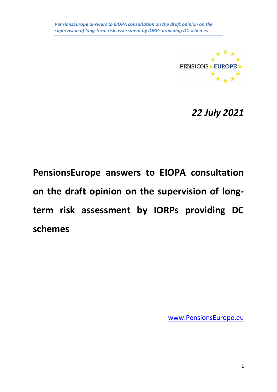

*22 July 2021*

**PensionsEurope answers to EIOPA consultation on the draft opinion on the supervision of longterm risk assessment by IORPs providing DC schemes** 

[www.PensionsEurope.eu](http://www.pensionseurope.eu/)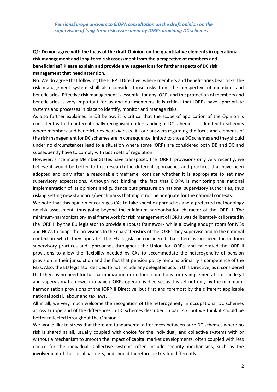# **Q1: Do you agree with the focus of the draft Opinion on the quantitative elements in operational risk management and long-term risk assessment from the perspective of members and beneficiaries? Please explain and provide any suggestions for further aspects of DC risk management that need attention.**

No. We do agree that following the IORP II Directive, where members and beneficiaries bear risks, the risk management system shall also consider those risks from the perspective of members and beneficiaries. Effective risk management is essential for any IORP, and the protection of members and beneficiaries is very important for us and our members. It is critical that IORPs have appropriate systems and processes in place to identify, monitor and manage risks.

As also further explained in Q3 below, it is critical that the scope of application of the Opinion is consistent with the internationally recognised understanding of DC schemes, i.e. limited to schemes where members and beneficiaries bear *all* risks. All our answers regarding the focus and elements of the risk management for DC schemes are in consequence limited to those DC schemes and they should under no circumstances lead to a situation where some IORPs are considered both DB and DC and subsequently have to comply with both sets of regulation.

However, since many Member States have transposed the IORP II provisions only very recently, we believe it would be better to first research the different approaches and practices that have been adopted and only after a reasonable timeframe, consider whether it is appropriate to set new supervisory expectations. Although not binding, the fact that EIOPA is monitoring the national implementation of its opinions and guidance puts pressure on national supervisory authorities, thus risking setting new standards/benchmarks that might not be adequate for the national contexts.

We note that this opinion encourages CAs to take specific approaches and a preferred methodology on risk assessment, thus going beyond the minimum-harmonisation character of the IORP II. The minimum-harmonization-level framework for risk management of IORPs was deliberately calibrated in the IORP II by the EU legislator to provide a robust framework while allowing enough room for MSs and NCAs to adapt the provisions to the characteristics of the IORPs they supervise and to the national context in which they operate. The EU legislator considered that there is no need for uniform supervisory practices and approaches throughout the Union for IORPs, and calibrated the IORP II provisions to allow the flexibility needed by CAs to accommodate the heterogeneity of pension provision in their jurisdiction and the fact that pension policy remains primarily a competence of the MSs. Also, the EU legislator decided to not include any delegated acts in this Directive, as it considered that there is no need for full harmonization or uniform conditions for its implementation. The legal and supervisory framework in which IORPs operate is diverse, as it is set not only by the minimumharmonization provisions of the IORP II Directive, but first and foremost by the different applicable national social, labour and tax laws.

All in all, we very much welcome the recognition of the heterogeneity in occupational DC schemes across Europe and of the differences in DC schemes described in par. 2.7, but we think it should be better reflected throughout the Opinion.

We would like to stress that there are fundamental differences between pure DC schemes where no risk is shared at all, usually coupled with choice for the individual, and collective systems with or without a mechanism to smooth the impact of capital market developments, often coupled with less choice for the individual. Collective systems often include security mechanisms, such as the involvement of the social partners, and should therefore be treated differently.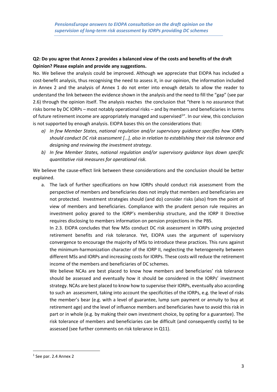### **Q2: Do you agree that Annex 2 provides a balanced view of the costs and benefits of the draft Opinion? Please explain and provide any suggestions.**

No. We believe the analysis could be improved. Although we appreciate that EIOPA has included a cost-benefit analysis, thus recognising the need to assess it, in our opinion, the information included in Annex 2 and the analysis of Annex 1 do not enter into enough details to allow the reader to understand the link between the evidence shown in the analysis and the need to fill the "gap" (see par 2.6) through the opinion itself. The analysis reaches the conclusion that "there is no assurance that risks borne by DC IORPs – most notably operational risks – and by members and beneficiaries in terms of future retirement income are appropriately managed and supervised<sup>1</sup>". In our view, this conclusion is not supported by enough analysis. EIOPA bases this on the considerations that:

- *a) In few Member States, national regulation and/or supervisory guidance specifies how IORPs should conduct DC risk assessment […], also in relation to establishing their risk tolerance and designing and reviewing the investment strategy.*
- *b) In few Member States, national regulation and/or supervisory guidance lays down specific quantitative risk measures for operational risk.*

We believe the cause-effect link between these considerations and the conclusion should be better explained.

a. The lack of further specifications on how IORPs should conduct risk assessment from the perspective of members and beneficiaries does not imply that members and beneficiaries are not protected. Investment strategies should (and do) consider risks (also) from the point of view of members and beneficiaries. Compliance with the prudent person rule requires an investment policy geared to the IORP's membership structure, and the IORP II Directive requires disclosing to members information on pension projections in the PBS.

In 2.3. EIOPA concludes that few MSs conduct DC risk assessment in IORPs using projected retirement benefits and risk tolerance. Yet, EIOPA uses the argument of supervisory convergence to encourage the majority of MSs to introduce these practices. This runs against the minimum-harmonization character of the IORP II, neglecting the heterogeneity between different MSs and IORPs and increasing costs for IORPs. These costs will reduce the retirement income of the members and beneficiaries of DC schemes.

We believe NCAs are best placed to know how members and beneficiaries' risk tolerance should be assessed and eventually how it should be considered in the IORPs' investment strategy. NCAs are best placed to know how to supervise their IORPs, eventually also according to such an assessment, taking into account the specificities of the IORPs, e.g. the level of risks the member's bear (e.g. with a level of guarantee, lump sum payment or annuity to buy at retirement age) and the level of influence members and beneficiaries have to avoid this risk in part or in whole (e.g. by making their own investment choice, by opting for a guarantee). The risk tolerance of members and beneficiaries can be difficult (and consequently costly) to be assessed (see further comments on risk tolerance in Q11).

<sup>&</sup>lt;sup>1</sup> See par. 2.4 Annex 2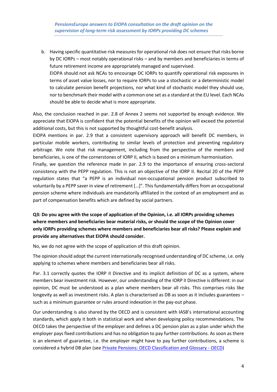b. Having specific quantitative risk measures for operational risk does not ensure that risks borne by DC IORPs – most notably operational risks – and by members and beneficiaries in terms of future retirement income are appropriately managed and supervised. EIOPA should not ask NCAs to encourage DC IORPs to quantify operational risk exposures in terms of asset value losses, nor to require IORPs to use a stochastic or a deterministic model to calculate pension benefit projections, nor what kind of stochastic model they should use, nor to benchmark their model with a common one set as a standard at the EU level. Each NCAs should be able to decide what is more appropriate.

Also, the conclusion reached in par. 2.8 of Annex 2 seems not supported by enough evidence. We appreciate that EIOPA is confident that the potential benefits of the opinion will exceed the potential additional costs, but this is not supported by thoughtful cost-benefit analysis.

EIOPA mentions in par. 2.9 that a consistent supervisory approach will benefit DC members, in particular mobile workers, contributing to similar levels of protection and preventing regulatory arbitrage. We note that risk management, including from the perspective of the members and beneficiaries, is one of the cornerstones of IORP II, which is based on a minimum harmonisation.

Finally, we question the reference made in par. 2.9 to the importance of ensuring cross-sectoral consistency with the PEPP regulation. This is not an objective of the IORP II. Recital 20 of the PEPP regulation states that "a PEPP is an individual non-occupational pension product subscribed to voluntarily by a PEPP saver in view of retirement […]". This fundamentally differs from an occupational pension scheme where individuals are mandatorily affiliated in the context of an employment and as part of compensation benefits which are defined by social partners.

## **Q3: Do you agree with the scope of application of the Opinion, i.e. all IORPs providing schemes where members and beneficiaries bear material risks, or should the scope of the Opinion cover only IORPs providing schemes where members and beneficiaries bear all risks? Please explain and provide any alternatives that EIOPA should consider.**

No, we do not agree with the scope of application of this draft opinion.

The opinion should adopt the current internationally recognised understanding of DC scheme, i.e. only applying to schemes where members and beneficiaries bear all risks.

Par. 3.1 correctly quotes the IORP II Directive and its implicit definition of DC as a system, where members bear investment risk. However, our understanding of the IORP II Directive is different: in our opinion, DC must be understood as a plan where members bear all risks. This comprises risks like longevity as well as investment risks. A plan is characterised as DB as soon as it includes guarantees – such as a minimum guarantee or rules around indexation in the pay-out phase.

Our understanding is also shared by the OECD and is consistent with IASB's international accounting standards, which apply it both in statistical work and when developing policy recommendations. The OECD takes the perspective of the employer and defines a DC pension plan as a plan under which the employer pays fixed contributions and has no obligation to pay further contributions. As soon as there is an element of guarantee, i.e. the employer might have to pay further contributions, a scheme is considered a hybrid DB plan (see [Private Pensions: OECD Classification and Glossary -](https://www.oecd.org/finance/private-pensions/privatepensionsoecdclassificationandglossary.htm) OECD)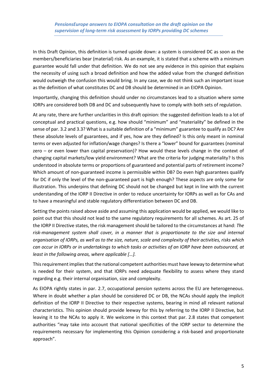In this Draft Opinion, this definition is turned upside down: a system is considered DC as soon as the members/beneficiaries bear (material) risk. As an example, it is stated that a scheme with a minimum guarantee would fall under that definition. We do not see any evidence in this opinion that explains the necessity of using such a broad definition and how the added value from the changed definition would outweigh the confusion this would bring. In any case, we do not think such an important issue as the definition of what constitutes DC and DB should be determined in an EIOPA Opinion.

Importantly, changing this definition should under no circumstances lead to a situation where some IORPs are considered both DB and DC and subsequently have to comply with both sets of regulation.

At any rate, there are further unclarities in this draft opinion: the suggested definition leads to a lot of conceptual and practical questions, e.g. how should "minimum" and "materiality" be defined in the sense of par. 3.2 and 3.3? What is a suitable definition of a "minimum" guarantee to qualify as DC? Are these absolute levels of guarantees, and if yes, how are they defined? Is this only meant in nominal terms or even adjusted for inflation/wage changes? Is there a "lower" bound for guarantees (nominal zero – or even lower than capital preservation)? How would these levels change in the context of changing capital markets/low yield environment? What are the criteria for judging materiality? Is this understood in absolute terms or proportions of guaranteed and potential parts of retirement income? Which amount of non-guaranteed income is permissible within DB? Do even high guarantees qualify for DC if only the level of the non-guaranteed part is high enough? These aspects are only some for illustration. This underpins that defining DC should not be changed but kept in line with the current understanding of the IORP II Directive in order to reduce uncertainty for IORPs as well as for CAs and to have a meaningful and stable regulatory differentiation between DC and DB.

Setting the points raised above aside and assuming this application would be applied, we would like to point out that this should not lead to the same regulatory requirements for all schemes. As art. 25 of the IORP II Directive states, the risk management should be tailored to the circumstances at hand: *The risk-management system shall cover, in a manner that is proportionate to the size and internal organisation of IORPs, as well as to the size, nature, scale and complexity of their activities, risks which can occur in IORPs or in undertakings to which tasks or activities of an IORP have been outsourced, at least in the following areas, where applicable […].*

This requirement implies that the national competent authorities must have leeway to determine what is needed for their system, and that IORPs need adequate flexibility to assess where they stand regarding e.g. their internal organisation, size and complexity.

As EIOPA rightly states in par. 2.7, occupational pension systems across the EU are heterogeneous. Where in doubt whether a plan should be considered DC or DB, the NCAs should apply the implicit definition of the IORP II Directive to their respective systems, bearing in mind all relevant national characteristics. This opinion should provide leeway for this by referring to the IORP II Directive, but leaving it to the NCAs to apply it. We welcome in this context that par. 2.8 states that competent authorities "may take into account that national specificities of the IORP sector to determine the requirements necessary for implementing this Opinion considering a risk-based and proportionate approach".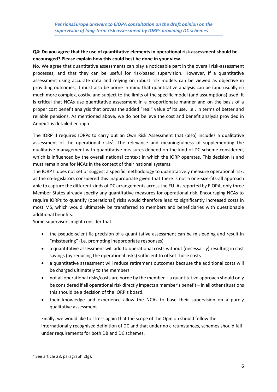### **Q4: Do you agree that the use of quantitative elements in operational risk assessment should be encouraged? Please explain how this could best be done in your view.**

No. We agree that quantitative assessments can play a noticeable part in the overall risk-assessment processes, and that they can be useful for risk-based supervision. However, if a quantitative assessment using accurate data and relying on robust risk models can be viewed as objective in providing outcomes, it must also be borne in mind that quantitative analysis can be (and usually is) much more complex, costly, and subject to the limits of the specific model (and assumptions) used. It is critical that NCAs use quantitative assessment in a proportionate manner and on the basis of a proper cost benefit analysis that proves the added "real" value of its use, i.e., in terms of better and reliable pensions. As mentioned above, we do not believe the cost and benefit analysis provided in Annex 2 is detailed enough.

The IORP II requires IORPs to carry out an Own Risk Assessment that (also) includes a qualitative assessment of the operational risks<sup>2</sup>. The relevance and meaningfulness of supplementing the qualitative management with quantitative measures depend on the kind of DC scheme considered, which is influenced by the overall national context in which the IORP operates. This decision is and must remain one for NCAs in the context of their national systems.

The IORP II does not set or suggest a specific methodology to quantitatively measure operational risk, as the co-legislators considered this inappropriate given that there is not a one-size-fits-all approach able to capture the different kinds of DC arrangements across the EU. As reported by EIOPA, only three Member States already specify any quantitative measures for operational risk. Encouraging NCAs to require IORPs to quantify (operational) risks would therefore lead to significantly increased costs in most MS, which would ultimately be transferred to members and beneficiaries with questionable additional benefits.

Some supervisors might consider that:

- the pseudo-scientific precision of a quantitative assessment can be misleading and result in "missteering" (i.e. prompting inappropriate responses)
- a quantitative assessment will add to operational costs without (necessarily) resulting in cost savings (by reducing the operational risks) sufficient to offset those costs
- a quantitative assessment will reduce retirement outcomes because the additional costs will be charged ultimately to the members
- not all operational risks/costs are borne by the member a quantitative approach should only be considered if all operational risk directly impacts a member's benefit – in all other situations this should be a decision of the IORP's board.
- their knowledge and experience allow the NCAs to base their supervision on a purely qualitative assessment

Finally, we would like to stress again that the scope of the Opinion should follow the internationally recognised definition of DC and that under no circumstances, schemes should fall under requirements for both DB and DC schemes.

 $2$  See article 28, paragraph 2(g).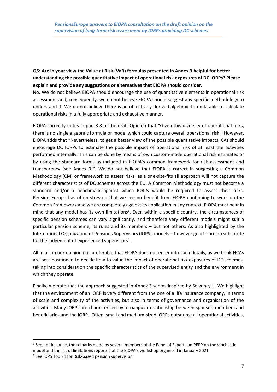## **Q5: Are in your view the Value at Risk (VaR) formulas presented in Annex 3 helpful for better understanding the possible quantitative impact of operational risk exposures of DC IORPs? Please explain and provide any suggestions or alternatives that EIOPA should consider.**

No. We do not believe EIOPA should encourage the use of quantitative elements in operational risk assessment and, consequently, we do not believe EIOPA should suggest any specific methodology to understand it. We do not believe there is an objectively derived algebraic formula able to calculate operational risks in a fully appropriate and exhaustive manner.

EIOPA correctly notes in par. 3.8 of the draft Opinion that "Given this diversity of operational risks, there is no single algebraic formula or model which could capture overall operational risk." However, EIOPA adds that "Nevertheless, to get a better view of the possible quantitative impacts, CAs should encourage DC IORPs to estimate the possible impact of operational risk of at least the activities performed internally. This can be done by means of own custom-made operational risk estimates or by using the standard formulas included in EIOPA's common framework for risk assessment and transparency (see Annex 3)". We do not believe that EIOPA is correct in suggesting a Common Methodology (CM) or framework to assess risks, as a one-size-fits all approach will not capture the different characteristics of DC schemes across the EU. A Common Methodology must not become a standard and/or a benchmark against which IORPs would be required to assess their risks. PensionsEurope has often stressed that we see no benefit from EIOPA continuing to work on the Common Framework and we are completely against its application in any context. EIOPA must bear in mind that any model has its own limitations<sup>3</sup>. Even within a specific country, the circumstances of specific pension schemes can vary significantly, and therefore very different models might suit a particular pension scheme, its rules and its members – but not others. As also highlighted by the International Organization of Pensions Supervisors (IOPS), models – however good – are no substitute for the judgement of experienced supervisors<sup>4</sup>.

All in all, in our opinion it is preferable that EIOPA does not enter into such details, as we think NCAs are best positioned to decide how to value the impact of operational risk exposures of DC schemes, taking into consideration the specific characteristics of the supervised entity and the environment in which they operate.

Finally, we note that the approach suggested in Annex 3 seems inspired by Solvency II. We highlight that the environment of an IORP is very different from the one of a life insurance company, in terms of scale and complexity of the activities, but also in terms of governance and organisation of the activities. Many IORPs are characterised by a triangular relationship between sponsor, members and beneficiaries and the IORP.. Often, small and medium-sized IORPs outsource all operational activities,

<sup>&</sup>lt;sup>3</sup> See, for instance, the remarks made by several members of the Panel of Experts on PEPP on the stochastic model and the list of limitations reported at the EIOPA's workshop organised in January 2021

<sup>4</sup> See IOPS Toolkit for Risk-based pension supervision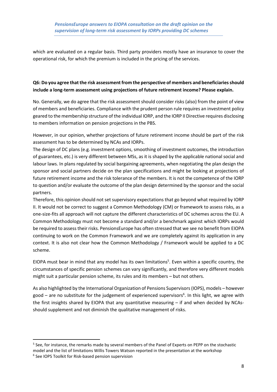which are evaluated on a regular basis. Third party providers mostly have an insurance to cover the operational risk, for which the premium is included in the pricing of the services.

### **Q6: Do you agree that the risk assessment from the perspective of members and beneficiaries should include a long-term assessment using projections of future retirement income? Please explain.**

No. Generally, we do agree that the risk assessment should consider risks (also) from the point of view of members and beneficiaries. Compliance with the prudent person rule requires an investment policy geared to the membership structure of the individual IORP, and the IORP II Directive requires disclosing to members information on pension projections in the PBS.

However, in our opinion, whether projections of future retirement income should be part of the risk assessment has to be determined by NCAs and IORPs.

The design of DC plans (e.g. investment options, smoothing of investment outcomes, the introduction of guarantees, etc.) is very different between MSs, as it is shaped by the applicable national social and labour laws. In plans regulated by social bargaining agreements, when negotiating the plan design the sponsor and social partners decide on the plan specifications and might be looking at projections of future retirement income and the risk tolerance of the members. It is not the competence of the IORP to question and/or evaluate the outcome of the plan design determined by the sponsor and the social partners.

Therefore, this opinion should not set supervisory expectations that go beyond what required by IORP II. It would not be correct to suggest a Common Methodology (CM) or framework to assess risks, as a one-size-fits all approach will not capture the different characteristics of DC schemes across the EU. A Common Methodology must not become a standard and/or a benchmark against which IORPs would be required to assess their risks. PensionsEurope has often stressed that we see no benefit from EIOPA continuing to work on the Common Framework and we are completely against its application in any context. It is also not clear how the Common Methodology / Framework would be applied to a DC scheme.

EIOPA must bear in mind that any model has its own limitations<sup>5</sup>. Even within a specific country, the circumstances of specific pension schemes can vary significantly, and therefore very different models might suit a particular pension scheme, its rules and its members – but not others.

As also highlighted by the International Organization of Pensions Supervisors (IOPS), models – however good – are no substitute for the judgement of experienced supervisors<sup>6</sup>. In this light, we agree with the first insights shared by EIOPA that any quantitative measuring – if and when decided by NCAsshould supplement and not diminish the qualitative management of risks.

<sup>&</sup>lt;sup>5</sup> See, for instance, the remarks made by several members of the Panel of Experts on PEPP on the stochastic model and the list of limitations Willis Towers Watson reported in the presentation at the workshop 6 See IOPS Toolkit for Risk-based pension supervision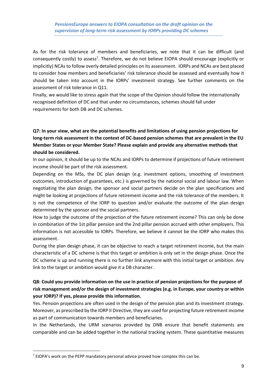As for the risk tolerance of members and beneficiaries, we note that it can be difficult (and consequently costly) to assess<sup>7</sup>. Therefore, we do not believe EIOPA should encourage (explicitly or implicitly) NCAs to follow overly detailed principles on its assessment. IORPs and NCAs are best placed to consider how members and beneficiaries' risk tolerance should be assessed and eventually how it should be taken into account in the IORPs' investment strategy. See further comments on the assessment of risk tolerance in Q11.

Finally, we would like to stress again that the scope of the Opinion should follow the internationally recognised definition of DC and that under no circumstances, schemes should fall under requirements for both DB and DC schemes.

# **Q7: In your view, what are the potential benefits and limitations of using pension projections for long-term risk assessment in the context of DC-based pension schemes that are prevalent in the EU Member States or your Member State? Please explain and provide any alternative methods that should be considered.**

In our opinion, it should be up to the NCAs and IORPs to determine if projections of future retirement income should be part of the risk assessment.

Depending on the MSs, the DC plan design (e.g. investment options, smoothing of investment outcomes, introduction of guarantees, etc.) is governed by the national social and labour law. When negotiating the plan design, the sponsor and social partners decide on the plan specifications and might be looking at projections of future retirement income and the risk tolerance of the members. It is not the competence of the IORP to question and/or evaluate the outcome of the plan design determined by the sponsor and the social partners.

How to judge the outcome of the projection of the future retirement income? This can only be done in combination of the 1st pillar pension and the 2nd pillar pension accrued with other employers. This information is not accessible to IORPs. Therefore, we believe it cannot be the IORP who makes this assessment.

During the plan design phase, it can be objective to reach a target retirement income, but the main characteristic of a DC scheme is that this target or ambition is only set in the design phase. Once the DC scheme is up and running there is no further link anymore with this initial target or ambition. Any link to the target or ambition would give it a DB character.

### **Q8: Could you provide information on the use in practice of pension projections for the purpose of risk management and/or the design of investment strategies (e.g. in Europe, your country or within your IORP)? If yes, please provide this information.**

Yes. Pension projections are often used in the design of the pension plan and its investment strategy. Moreover, as prescribed by the IORP II Directive, they are used for projecting future retirement income as part of communication towards members and beneficiaries.

In the Netherlands, the URM scenarios provided by DNB ensure that benefit statements are comparable and can be added together in the national tracking system. These quantitative measures

 $<sup>7</sup>$  EIOPA's work on the PEPP mandatory personal advice proved how complex this can be.</sup>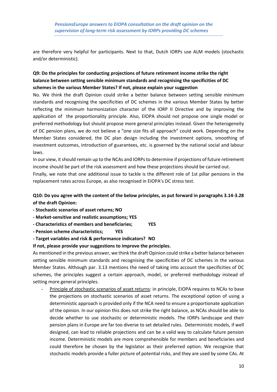are therefore very helpful for participants. Next to that, Dutch IORPs use ALM models (stochastic and/or deterministic).

# **Q9: Do the principles for conducting projections of future retirement income strike the right balance between setting sensible minimum standards and recognising the specificities of DC schemes in the various Member States? If not, please explain your suggestion**

No. We think the draft Opinion could strike a better balance between setting sensible minimum standards and recognising the specificities of DC schemes in the various Member States by better reflecting the minimum harmonization character of the IORP II Directive and by improving the application of the proportionality principle. Also, EIOPA should not propose one single model or preferred methodology but should propose more general principles instead. Given the heterogeneity of DC pension plans, we do not believe a "one size fits all approach" could work. Depending on the Member States considered, the DC plan design including the investment options, smoothing of investment outcomes, introduction of guarantees, etc. is governed by the national social and labour laws.

In our view, it should remain up to the NCAs and IORPs to determine if projections of future retirement income should be part of the risk assessment and how these projections should be carried out.

Finally, we note that one additional issue to tackle is the different role of 1st pillar pensions in the replacement rates across Europe, as also recognised in EIOPA's DC stress test.

## **Q10: Do you agree with the content of the below principles, as put forward in paragraphs 3.14-3.28 of the draft Opinion:**

- **- Stochastic scenarios of asset returns; NO**
- **- Market-sensitive and realistic assumptions; YES**
- **- Characteristics of members and beneficiaries; YES**
- **- Pension scheme characteristics; YES**
- **- Target variables and risk & performance indicators? NO**

### **If not, please provide your suggestions to improve the principles.**

As mentioned in the previous answer, we think the draft Opinion could strike a better balance between setting sensible minimum standards and recognising the specificities of DC schemes in the various Member States. Although par. 3.13 mentions the need of taking into account the specificities of DC schemes, the principles suggest a certain approach, model, or preferred methodology instead of setting more general principles.

Principle of stochastic scenarios of asset returns: in principle, EIOPA requires to NCAs to base the projections on stochastic scenarios of asset returns. The exceptional option of using a deterministic approach is provided only if the NCA need to ensure a proportionate application of the opinion. In our opinion this does not strike the right balance, as NCAs should be able to decide whether to use stochastic or deterministic models. The IORPs landscape and their pension plans in Europe are far too diverse to set detailed rules. Deterministic models, if well designed, can lead to reliable projections and can be a valid way to calculate future pension income. Deterministic models are more comprehensible for members and beneficiaries and could therefore be chosen by the legislator as their preferred option. We recognize that stochastic models provide a fuller picture of potential risks, and they are used by some CAs. At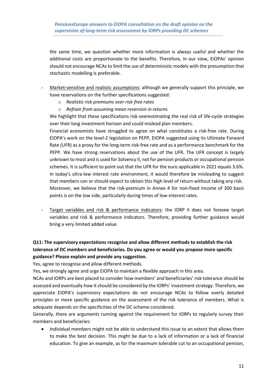the same time, we question whether more information is always useful and whether the additional costs are proportionate to the benefits. Therefore, in our view, EIOPAs' opinion should not encourage NCAs to limit the use of deterministic models with the presumption that stochastic modelling is preferable.

- Market-sensitive and realistic assumptions: although we generally support this principle, we have reservations on the further specifications suggested:
	- o *Realistic risk premiums over risk-free rates*
	- o *Refrain from assuming mean reversion in returns*

We highlight that these specifications risk overestimating the real risk of life-cycle strategies over their long investment horizon and could mislead plan members.

Financial economists have struggled to agree on what constitutes a risk-free rate. During EIOPA's work on the level-2 legislation on PEPP, EIOPA suggested using its Ultimate Forward Rate (UFR) as a proxy for the long-term risk-free rate and as a performance benchmark for the PEPP. We have strong reservations about the use of the UFR. The UFR concept is largely unknown to most and is used for Solvency II, not for pension products or occupational pension schemes. It is sufficient to point out that the UFR for the euro applicable in 2021 equals 3.6%. In today's ultra-low interest rate environment, it would therefore be misleading to suggest that members can or should expect to obtain this high level of return without taking any risk. Moreover, we believe that the risk-premium in Annex 4 for non-fixed income of 300 basis points is on the low side, particularly during times of low-interest rates.

- Target variables and risk & performance indicators: the IORP II does not foresee target variables and risk & performance indicators. Therefore, providing further guidance would bring a very limited added value.

# **Q11: The supervisory expectations recognise and allow different methods to establish the risk tolerance of DC members and beneficiaries. Do you agree or would you propose more specific guidance? Please explain and provide any suggestion.**

Yes, agree to recognise and allow different methods.

Yes, we strongly agree and urge EIOPA to maintain a flexible approach in this area.

NCAs and IORPs are best placed to consider how members' and beneficiaries' risk tolerance should be assessed and eventually how it should be considered by the IORPs' investment strategy. Therefore, we appreciate EIOPA's supervisory expectations do not encourage NCAs to follow overly detailed principles or more specific guidance on the assessment of the risk tolerance of members. What is adequate depends on the specificities of the DC scheme considered.

Generally, there are arguments running against the requirement for IORPs to regularly survey their members and beneficiaries:

• Individual members might not be able to understand this issue to an extent that allows them to make the best decision. This might be due to a lack of information or a lack of financial education. To give an example, as for the maximum tolerable cut to an occupational pension,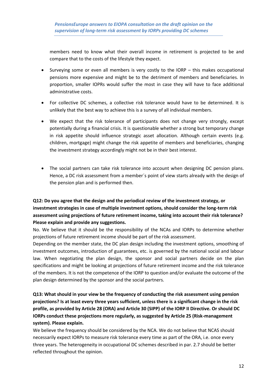members need to know what their overall income in retirement is projected to be and compare that to the costs of the lifestyle they expect.

- Surveying some or even all members is very costly to the IORP this makes occupational pensions more expensive and might be to the detriment of members and beneficiaries. In proportion, smaller IOPRs would suffer the most in case they will have to face additional administrative costs.
- For collective DC schemes, a collective risk tolerance would have to be determined. It is unlikely that the best way to achieve this is a survey of all individual members.
- We expect that the risk tolerance of participants does not change very strongly, except potentially during a financial crisis. It is questionable whether a strong but temporary change in risk appetite should influence strategic asset allocation. Although certain events (e.g. children, mortgage) might change the risk appetite of members and beneficiaries, changing the investment strategy accordingly might not be in their best interest.
- The social partners can take risk tolerance into account when designing DC pension plans. Hence, a DC risk assessment from a member´s point of view starts already with the design of the pension plan and is performed then.

# **Q12: Do you agree that the design and the periodical review of the investment strategy, or investment strategies in case of multiple investment options, should consider the long-term risk assessment using projections of future retirement income, taking into account their risk tolerance? Please explain and provide any suggestions.**

No. We believe that it should be the responsibility of the NCAs and IORPs to determine whether projections of future retirement income should be part of the risk assessment.

Depending on the member state, the DC plan design including the investment options, smoothing of investment outcomes, introduction of guarantees, etc. is governed by the national social and labour law. When negotiating the plan design, the sponsor and social partners decide on the plan specifications and might be looking at projections of future retirement income and the risk tolerance of the members. It is not the competence of the IORP to question and/or evaluate the outcome of the plan design determined by the sponsor and the social partners.

# **Q13: What should in your view be the frequency of conducting the risk assessment using pension projections? Is at least every three years sufficient, unless there is a significant change in the risk profile, as provided by Article 28 (ORA) and Article 30 (SIPP) of the IORP II Directive. Or should DC IORPs conduct these projections more regularly, as suggested by Article 25 (Risk-management system). Please explain.**

We believe the frequency should be considered by the NCA. We do not believe that NCAS should necessarily expect IORPs to measure risk tolerance every time as part of the ORA, i.e. once every three years. The heterogeneity in occupational DC schemes described in par. 2.7 should be better reflected throughout the opinion.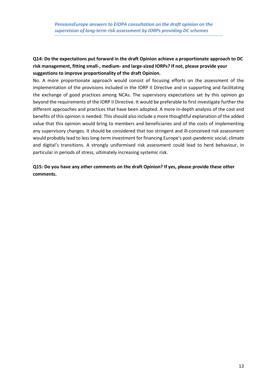### **Q14: Do the expectations put forward in the draft Opinion achieve a proportionate approach to DC risk management, fitting small-, medium- and large-sized IORPs? If not, please provide your suggestions to improve proportionality of the draft Opinion.**

No. A more proportionate approach would consist of focusing efforts on the assessment of the implementation of the provisions included in the IORP II Directive and in supporting and facilitating the exchange of good practices among NCAs. The supervisory expectations set by this opinion go beyond the requirements of the IORP II Directive. It would be preferable to first investigate further the different approaches and practices that have been adopted. A more in-depth analysis of the cost and benefits of this opinion is needed. This should also include a more thoughtful explanation of the added value that this opinion would bring to members and beneficiaries and of the costs of implementing any supervisory changes. It should be considered that too stringent and ill-conceived risk assessment would probably lead to less long-term investment for financing Europe's post-pandemic social, climate and digital's transitions. A strongly uniformised risk assessment could lead to herd behaviour, in particular in periods of stress, ultimately increasing systemic risk.

**Q15: Do you have any other comments on the draft Opinion? If yes, please provide these other comments.**